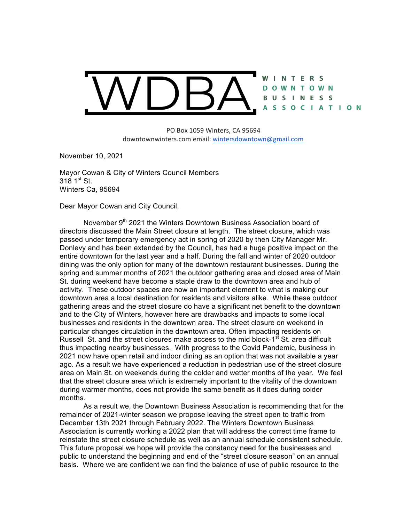

PO Box 1059 Winters, CA 95694 downtownwinters.com email: wintersdowntown@gmail.com

November 10, 2021

Mayor Cowan & City of Winters Council Members  $318 \; 1^{st} \; St.$ Winters Ca, 95694

Dear Mayor Cowan and City Council,

November 9<sup>th</sup> 2021 the Winters Downtown Business Association board of directors discussed the Main Street closure at length. The street closure, which was passed under temporary emergency act in spring of 2020 by then City Manager Mr. Donlevy and has been extended by the Council, has had a huge positive impact on the entire downtown for the last year and a half. During the fall and winter of 2020 outdoor dining was the only option for many of the downtown restaurant businesses. During the spring and summer months of 2021 the outdoor gathering area and closed area of Main St. during weekend have become a staple draw to the downtown area and hub of activity. These outdoor spaces are now an important element to what is making our downtown area a local destination for residents and visitors alike. While these outdoor gathering areas and the street closure do have a significant net benefit to the downtown and to the City of Winters, however here are drawbacks and impacts to some local businesses and residents in the downtown area. The street closure on weekend in particular changes circulation in the downtown area. Often impacting residents on Russell St. and the street closures make access to the mid block-1<sup>st</sup> St. area difficult thus impacting nearby businesses. With progress to the Covid Pandemic, business in 2021 now have open retail and indoor dining as an option that was not available a year ago. As a result we have experienced a reduction in pedestrian use of the street closure area on Main St. on weekends during the colder and wetter months of the year. We feel that the street closure area which is extremely important to the vitality of the downtown during warmer months, does not provide the same benefit as it does during colder months.

As a result we, the Downtown Business Association is recommending that for the remainder of 2021-winter season we propose leaving the street open to traffic from December 13th 2021 through February 2022. The Winters Downtown Business Association is currently working a 2022 plan that will address the correct time frame to reinstate the street closure schedule as well as an annual schedule consistent schedule. This future proposal we hope will provide the constancy need for the businesses and public to understand the beginning and end of the "street closure season" on an annual basis. Where we are confident we can find the balance of use of public resource to the